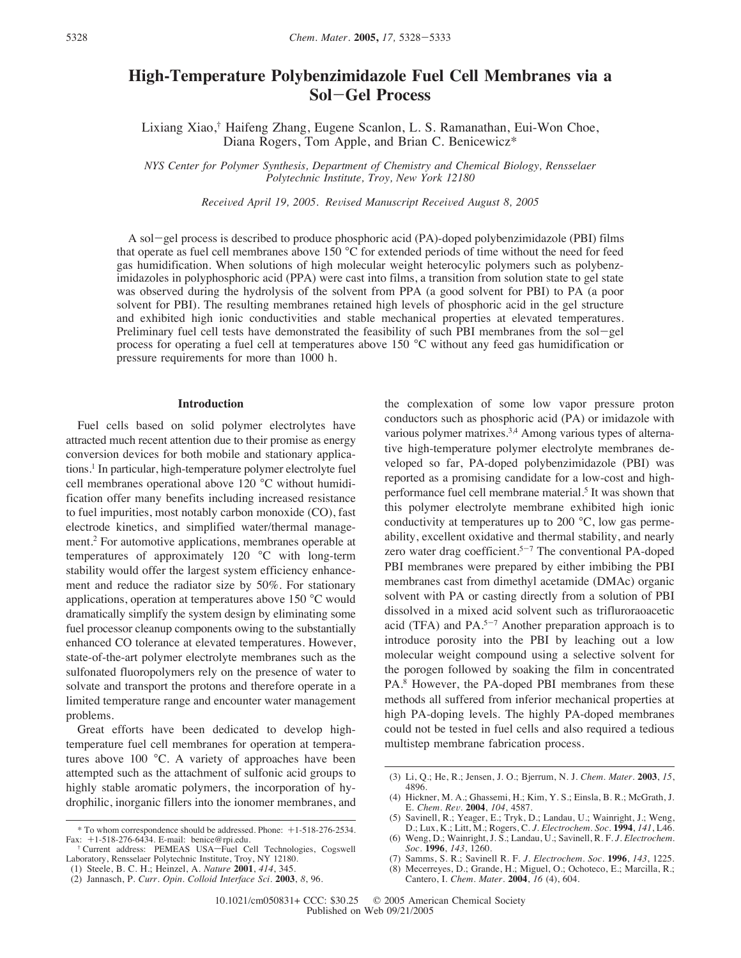# **High-Temperature Polybenzimidazole Fuel Cell Membranes via a Sol**-**Gel Process**

Lixiang Xiao,† Haifeng Zhang, Eugene Scanlon, L. S. Ramanathan, Eui-Won Choe, Diana Rogers, Tom Apple, and Brian C. Benicewicz\*

*NYS Center for Polymer Synthesis, Department of Chemistry and Chemical Biology, Rensselaer Polytechnic Institute, Troy, New York 12180*

*Received April 19, 2005. Revised Manuscript Received August 8, 2005* 

A sol-gel process is described to produce phosphoric acid (PA)-doped polybenzimidazole (PBI) films that operate as fuel cell membranes above 150 °C for extended periods of time without the need for feed gas humidification. When solutions of high molecular weight heterocylic polymers such as polybenzimidazoles in polyphosphoric acid (PPA) were cast into films, a transition from solution state to gel state was observed during the hydrolysis of the solvent from PPA (a good solvent for PBI) to PA (a poor solvent for PBI). The resulting membranes retained high levels of phosphoric acid in the gel structure and exhibited high ionic conductivities and stable mechanical properties at elevated temperatures. Preliminary fuel cell tests have demonstrated the feasibility of such PBI membranes from the sol-gel process for operating a fuel cell at temperatures above 150 °C without any feed gas humidification or pressure requirements for more than 1000 h.

# **Introduction**

Fuel cells based on solid polymer electrolytes have attracted much recent attention due to their promise as energy conversion devices for both mobile and stationary applications.1 In particular, high-temperature polymer electrolyte fuel cell membranes operational above 120 °C without humidification offer many benefits including increased resistance to fuel impurities, most notably carbon monoxide (CO), fast electrode kinetics, and simplified water/thermal management.2 For automotive applications, membranes operable at temperatures of approximately 120 °C with long-term stability would offer the largest system efficiency enhancement and reduce the radiator size by 50%. For stationary applications, operation at temperatures above 150 °C would dramatically simplify the system design by eliminating some fuel processor cleanup components owing to the substantially enhanced CO tolerance at elevated temperatures. However, state-of-the-art polymer electrolyte membranes such as the sulfonated fluoropolymers rely on the presence of water to solvate and transport the protons and therefore operate in a limited temperature range and encounter water management problems.

Great efforts have been dedicated to develop hightemperature fuel cell membranes for operation at temperatures above 100 °C. A variety of approaches have been attempted such as the attachment of sulfonic acid groups to highly stable aromatic polymers, the incorporation of hydrophilic, inorganic fillers into the ionomer membranes, and the complexation of some low vapor pressure proton conductors such as phosphoric acid (PA) or imidazole with various polymer matrixes.<sup>3,4</sup> Among various types of alternative high-temperature polymer electrolyte membranes developed so far, PA-doped polybenzimidazole (PBI) was reported as a promising candidate for a low-cost and highperformance fuel cell membrane material.<sup>5</sup> It was shown that this polymer electrolyte membrane exhibited high ionic conductivity at temperatures up to 200 °C, low gas permeability, excellent oxidative and thermal stability, and nearly zero water drag coefficient.<sup>5-7</sup> The conventional PA-doped PBI membranes were prepared by either imbibing the PBI membranes cast from dimethyl acetamide (DMAc) organic solvent with PA or casting directly from a solution of PBI dissolved in a mixed acid solvent such as trifluroraoacetic acid (TFA) and  $PA.^{5-7}$  Another preparation approach is to introduce porosity into the PBI by leaching out a low molecular weight compound using a selective solvent for the porogen followed by soaking the film in concentrated PA.<sup>8</sup> However, the PA-doped PBI membranes from these methods all suffered from inferior mechanical properties at high PA-doping levels. The highly PA-doped membranes could not be tested in fuel cells and also required a tedious multistep membrane fabrication process.

<sup>\*</sup> To whom correspondence should be addressed. Phone: +1-518-276-2534. Fax: +1-518-276-6434. E-mail: benice@rpi.edu.

<sup>&</sup>lt;sup>†</sup> Current address: PEMEAS USA-Fuel Cell Technologies, Cogswell Laboratory, Rensselaer Polytechnic Institute, Troy, NY 12180.

<sup>(1)</sup> Steele, B. C. H.; Heinzel, A. *Nature* **2001**, *414*, 345.

<sup>(2)</sup> Jannasch, P. *Curr. Opin. Colloid Interface Sci.* **2003**, *8*, 96.

<sup>(3)</sup> Li, Q.; He, R.; Jensen, J. O.; Bjerrum, N. J. *Chem. Mater.* **2003**, *15*, 4896.

<sup>(4)</sup> Hickner, M. A.; Ghassemi, H.; Kim, Y. S.; Einsla, B. R.; McGrath, J. E. *Chem. Re*V*.* **2004**, *104*, 4587.

<sup>(5)</sup> Savinell, R.; Yeager, E.; Tryk, D.; Landau, U.; Wainright, J.; Weng, D.; Lux, K.; Litt, M.; Rogers, C. *J. Electrochem. Soc.* **1994**, *141*, L46.

<sup>(6)</sup> Weng, D.; Wainright, J. S.; Landau, U.; Savinell, R. F. *J. Electrochem. Soc.* **1996**, *143*, 1260.

<sup>(7)</sup> Samms, S. R.; Savinell R. F. *J. Electrochem. Soc.* **1996**, *143*, 1225.

Mecerreyes, D.; Grande, H.; Miguel, O.; Ochoteco, E.; Marcilla, R.; Cantero, I. *Chem. Mater.* **2004**, *16* (4), 604.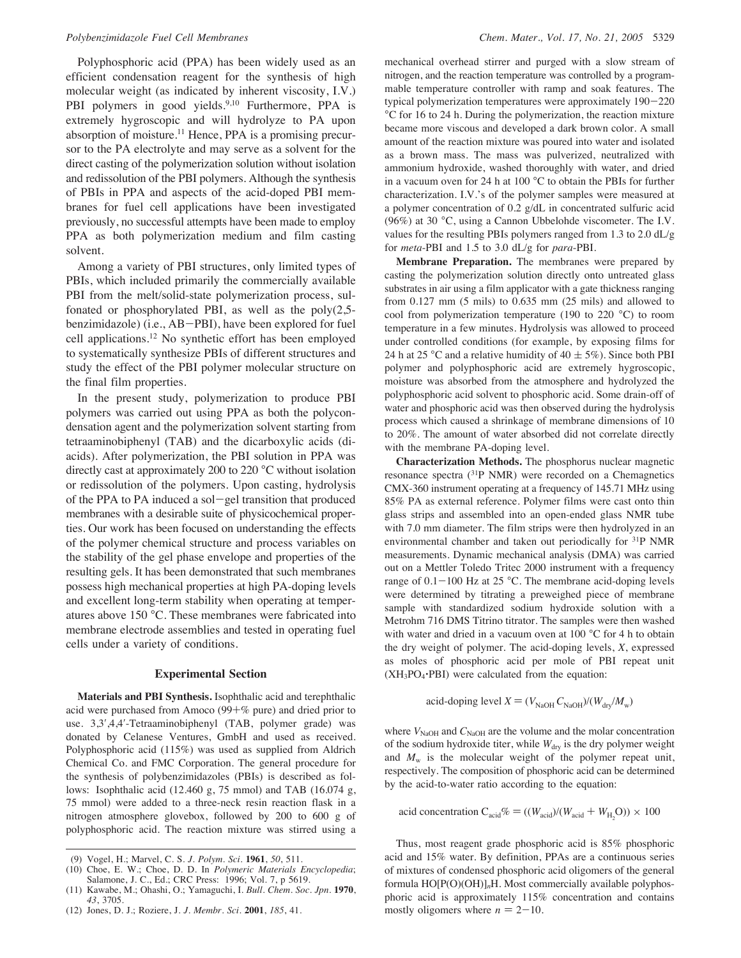Polyphosphoric acid (PPA) has been widely used as an efficient condensation reagent for the synthesis of high molecular weight (as indicated by inherent viscosity, I.V.) PBI polymers in good yields.<sup>9,10</sup> Furthermore, PPA is extremely hygroscopic and will hydrolyze to PA upon absorption of moisture.<sup>11</sup> Hence, PPA is a promising precursor to the PA electrolyte and may serve as a solvent for the direct casting of the polymerization solution without isolation and redissolution of the PBI polymers. Although the synthesis of PBIs in PPA and aspects of the acid-doped PBI membranes for fuel cell applications have been investigated previously, no successful attempts have been made to employ PPA as both polymerization medium and film casting solvent.

Among a variety of PBI structures, only limited types of PBIs, which included primarily the commercially available PBI from the melt/solid-state polymerization process, sulfonated or phosphorylated PBI, as well as the poly(2,5 benzimidazole) (i.e., AB-PBI), have been explored for fuel cell applications.12 No synthetic effort has been employed to systematically synthesize PBIs of different structures and study the effect of the PBI polymer molecular structure on the final film properties.

In the present study, polymerization to produce PBI polymers was carried out using PPA as both the polycondensation agent and the polymerization solvent starting from tetraaminobiphenyl (TAB) and the dicarboxylic acids (diacids). After polymerization, the PBI solution in PPA was directly cast at approximately 200 to 220 °C without isolation or redissolution of the polymers. Upon casting, hydrolysis of the PPA to PA induced a sol-gel transition that produced membranes with a desirable suite of physicochemical properties. Our work has been focused on understanding the effects of the polymer chemical structure and process variables on the stability of the gel phase envelope and properties of the resulting gels. It has been demonstrated that such membranes possess high mechanical properties at high PA-doping levels and excellent long-term stability when operating at temperatures above 150 °C. These membranes were fabricated into membrane electrode assemblies and tested in operating fuel cells under a variety of conditions.

### **Experimental Section**

**Materials and PBI Synthesis.** Isophthalic acid and terephthalic acid were purchased from Amoco (99+% pure) and dried prior to use. 3,3',4,4'-Tetraaminobiphenyl (TAB, polymer grade) was donated by Celanese Ventures, GmbH and used as received. Polyphosphoric acid (115%) was used as supplied from Aldrich Chemical Co. and FMC Corporation. The general procedure for the synthesis of polybenzimidazoles (PBIs) is described as follows: Isophthalic acid (12.460 g, 75 mmol) and TAB (16.074 g, 75 mmol) were added to a three-neck resin reaction flask in a nitrogen atmosphere glovebox, followed by 200 to 600 g of polyphosphoric acid. The reaction mixture was stirred using a mechanical overhead stirrer and purged with a slow stream of nitrogen, and the reaction temperature was controlled by a programmable temperature controller with ramp and soak features. The typical polymerization temperatures were approximately 190-220 °C for 16 to 24 h. During the polymerization, the reaction mixture became more viscous and developed a dark brown color. A small amount of the reaction mixture was poured into water and isolated as a brown mass. The mass was pulverized, neutralized with ammonium hydroxide, washed thoroughly with water, and dried in a vacuum oven for 24 h at 100 °C to obtain the PBIs for further characterization. I.V.'s of the polymer samples were measured at a polymer concentration of 0.2 g/dL in concentrated sulfuric acid (96%) at 30 °C, using a Cannon Ubbelohde viscometer. The I.V. values for the resulting PBIs polymers ranged from 1.3 to 2.0 dL/g for *meta*-PBI and 1.5 to 3.0 dL/g for *para*-PBI.

**Membrane Preparation.** The membranes were prepared by casting the polymerization solution directly onto untreated glass substrates in air using a film applicator with a gate thickness ranging from 0.127 mm (5 mils) to 0.635 mm (25 mils) and allowed to cool from polymerization temperature (190 to 220 °C) to room temperature in a few minutes. Hydrolysis was allowed to proceed under controlled conditions (for example, by exposing films for 24 h at 25 °C and a relative humidity of 40  $\pm$  5%). Since both PBI polymer and polyphosphoric acid are extremely hygroscopic, moisture was absorbed from the atmosphere and hydrolyzed the polyphosphoric acid solvent to phosphoric acid. Some drain-off of water and phosphoric acid was then observed during the hydrolysis process which caused a shrinkage of membrane dimensions of 10 to 20%. The amount of water absorbed did not correlate directly with the membrane PA-doping level.

**Characterization Methods.** The phosphorus nuclear magnetic resonance spectra (31P NMR) were recorded on a Chemagnetics CMX-360 instrument operating at a frequency of 145.71 MHz using 85% PA as external reference. Polymer films were cast onto thin glass strips and assembled into an open-ended glass NMR tube with 7.0 mm diameter. The film strips were then hydrolyzed in an environmental chamber and taken out periodically for 31P NMR measurements. Dynamic mechanical analysis (DMA) was carried out on a Mettler Toledo Tritec 2000 instrument with a frequency range of  $0.1-100$  Hz at  $25$  °C. The membrane acid-doping levels were determined by titrating a preweighed piece of membrane sample with standardized sodium hydroxide solution with a Metrohm 716 DMS Titrino titrator. The samples were then washed with water and dried in a vacuum oven at 100 °C for 4 h to obtain the dry weight of polymer. The acid-doping levels, *X*, expressed as moles of phosphoric acid per mole of PBI repeat unit  $(XH_3PO_4\cdot PBI)$  were calculated from the equation:

acid-doping level  $X = (V_{\text{NaOH}} C_{\text{NaOH}})/(W_{\text{drv}}/M_{\text{w}})$ 

where  $V_{\text{NaOH}}$  and  $C_{\text{NaOH}}$  are the volume and the molar concentration of the sodium hydroxide titer, while *W*<sub>dry</sub> is the dry polymer weight and *M*<sup>w</sup> is the molecular weight of the polymer repeat unit, respectively. The composition of phosphoric acid can be determined by the acid-to-water ratio according to the equation:

acid concentration  $C_{\text{acid}}\% = ((W_{\text{acid}})/(W_{\text{acid}} + W_{\text{H}_2}O)) \times 100$ 

Thus, most reagent grade phosphoric acid is 85% phosphoric acid and 15% water. By definition, PPAs are a continuous series of mixtures of condensed phosphoric acid oligomers of the general formula HO[P(O)(OH)]*n*H. Most commercially available polyphosphoric acid is approximately 115% concentration and contains mostly oligomers where  $n = 2 - 10$ .

<sup>(9)</sup> Vogel, H.; Marvel, C. S. *J. Polym. Sci.* **1961**, *50*, 511.

<sup>(10)</sup> Choe, E. W.; Choe, D. D. In *Polymeric Materials Encyclopedia*; Salamone, J. C., Ed.; CRC Press: 1996; Vol. 7, p 5619.

<sup>(11)</sup> Kawabe, M.; Ohashi, O.; Yamaguchi, I. *Bull. Chem. Soc. Jpn.* **1970**, *43*, 3705.

<sup>(12)</sup> Jones, D. J.; Roziere, J. *J. Membr. Sci.* **2001**, *185*, 41.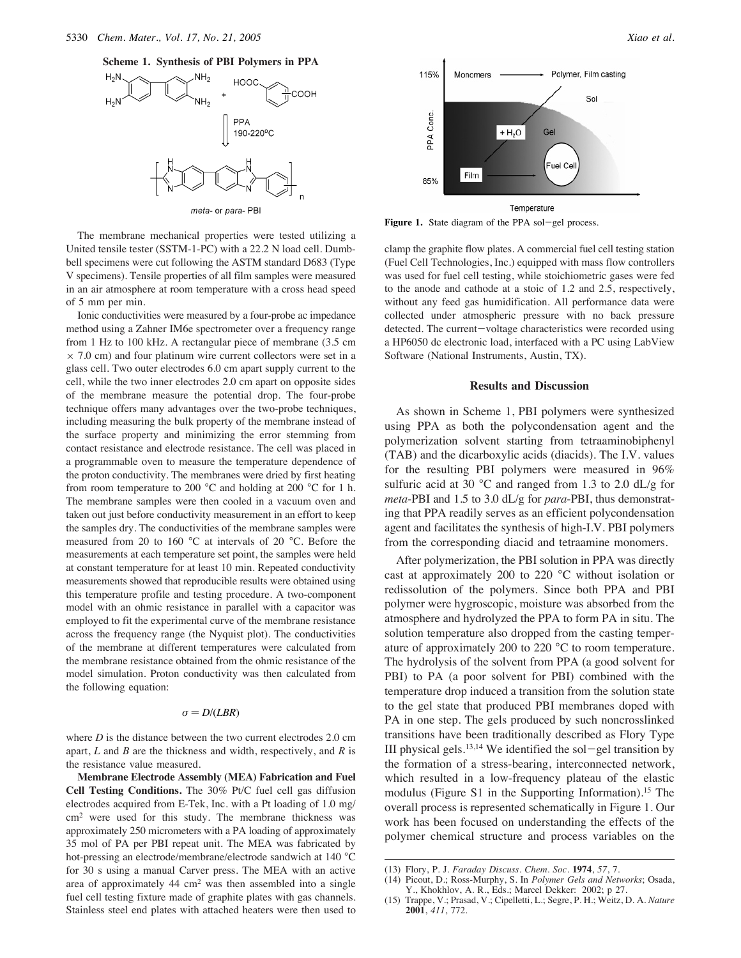**Scheme 1. Synthesis of PBI Polymers in PPA**



The membrane mechanical properties were tested utilizing a United tensile tester (SSTM-1-PC) with a 22.2 N load cell. Dumbbell specimens were cut following the ASTM standard D683 (Type V specimens). Tensile properties of all film samples were measured in an air atmosphere at room temperature with a cross head speed of 5 mm per min.

Ionic conductivities were measured by a four-probe ac impedance method using a Zahner IM6e spectrometer over a frequency range from 1 Hz to 100 kHz. A rectangular piece of membrane (3.5 cm  $\times$  7.0 cm) and four platinum wire current collectors were set in a glass cell. Two outer electrodes 6.0 cm apart supply current to the cell, while the two inner electrodes 2.0 cm apart on opposite sides of the membrane measure the potential drop. The four-probe technique offers many advantages over the two-probe techniques, including measuring the bulk property of the membrane instead of the surface property and minimizing the error stemming from contact resistance and electrode resistance. The cell was placed in a programmable oven to measure the temperature dependence of the proton conductivity. The membranes were dried by first heating from room temperature to 200  $^{\circ}$ C and holding at 200  $^{\circ}$ C for 1 h. The membrane samples were then cooled in a vacuum oven and taken out just before conductivity measurement in an effort to keep the samples dry. The conductivities of the membrane samples were measured from 20 to 160 °C at intervals of 20 °C. Before the measurements at each temperature set point, the samples were held at constant temperature for at least 10 min. Repeated conductivity measurements showed that reproducible results were obtained using this temperature profile and testing procedure. A two-component model with an ohmic resistance in parallel with a capacitor was employed to fit the experimental curve of the membrane resistance across the frequency range (the Nyquist plot). The conductivities of the membrane at different temperatures were calculated from the membrane resistance obtained from the ohmic resistance of the model simulation. Proton conductivity was then calculated from the following equation:

#### $\sigma = D/(LBR)$

where *D* is the distance between the two current electrodes 2.0 cm apart, *L* and *B* are the thickness and width, respectively, and *R* is the resistance value measured.

**Membrane Electrode Assembly (MEA) Fabrication and Fuel Cell Testing Conditions.** The 30% Pt/C fuel cell gas diffusion electrodes acquired from E-Tek, Inc. with a Pt loading of 1.0 mg/ cm2 were used for this study. The membrane thickness was approximately 250 micrometers with a PA loading of approximately 35 mol of PA per PBI repeat unit. The MEA was fabricated by hot-pressing an electrode/membrane/electrode sandwich at 140 °C for 30 s using a manual Carver press. The MEA with an active area of approximately  $44 \text{ cm}^2$  was then assembled into a single fuel cell testing fixture made of graphite plates with gas channels. Stainless steel end plates with attached heaters were then used to



Figure 1. State diagram of the PPA sol-gel process.

clamp the graphite flow plates. A commercial fuel cell testing station (Fuel Cell Technologies, Inc.) equipped with mass flow controllers was used for fuel cell testing, while stoichiometric gases were fed to the anode and cathode at a stoic of 1.2 and 2.5, respectively, without any feed gas humidification. All performance data were collected under atmospheric pressure with no back pressure detected. The current-voltage characteristics were recorded using a HP6050 dc electronic load, interfaced with a PC using LabView Software (National Instruments, Austin, TX).

# **Results and Discussion**

As shown in Scheme 1, PBI polymers were synthesized using PPA as both the polycondensation agent and the polymerization solvent starting from tetraaminobiphenyl (TAB) and the dicarboxylic acids (diacids). The I.V. values for the resulting PBI polymers were measured in 96% sulfuric acid at 30 °C and ranged from 1.3 to 2.0 dL/g for *meta*-PBI and 1.5 to 3.0 dL/g for *para*-PBI, thus demonstrating that PPA readily serves as an efficient polycondensation agent and facilitates the synthesis of high-I.V. PBI polymers from the corresponding diacid and tetraamine monomers.

After polymerization, the PBI solution in PPA was directly cast at approximately 200 to 220 °C without isolation or redissolution of the polymers. Since both PPA and PBI polymer were hygroscopic, moisture was absorbed from the atmosphere and hydrolyzed the PPA to form PA in situ. The solution temperature also dropped from the casting temperature of approximately 200 to 220 °C to room temperature. The hydrolysis of the solvent from PPA (a good solvent for PBI) to PA (a poor solvent for PBI) combined with the temperature drop induced a transition from the solution state to the gel state that produced PBI membranes doped with PA in one step. The gels produced by such noncrosslinked transitions have been traditionally described as Flory Type III physical gels.<sup>13,14</sup> We identified the sol-gel transition by the formation of a stress-bearing, interconnected network, which resulted in a low-frequency plateau of the elastic modulus (Figure S1 in the Supporting Information).<sup>15</sup> The overall process is represented schematically in Figure 1. Our work has been focused on understanding the effects of the polymer chemical structure and process variables on the

(14) Picout, D.; Ross-Murphy, S. In *Polymer Gels and Networks*; Osada, Y., Khokhlov, A. R., Eds.; Marcel Dekker: 2002; p 27.

<sup>(13)</sup> Flory, P. J. *Faraday Discuss. Chem. Soc.* **1974**, *57*, 7.

<sup>(15)</sup> Trappe, V.; Prasad, V.; Cipelletti, L.; Segre, P. H.; Weitz, D. A. *Nature* **2001**, *411*, 772.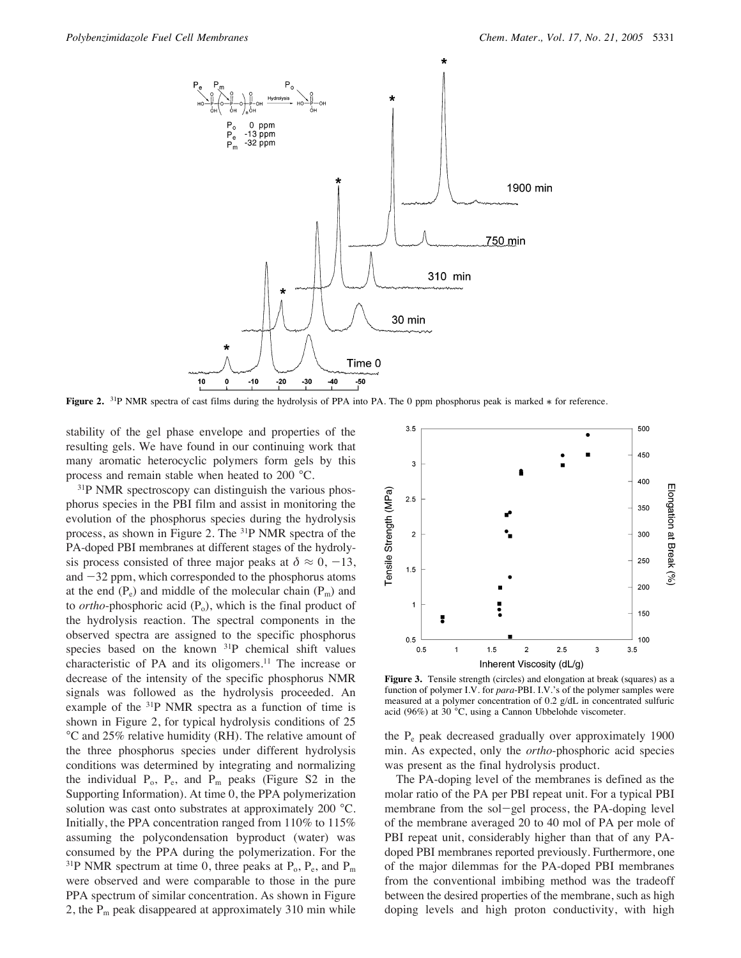

**Figure 2.** <sup>31</sup>P NMR spectra of cast films during the hydrolysis of PPA into PA. The 0 ppm phosphorus peak is marked  $*$  for reference.

stability of the gel phase envelope and properties of the resulting gels. We have found in our continuing work that many aromatic heterocyclic polymers form gels by this process and remain stable when heated to 200 °C.

<sup>31</sup>P NMR spectroscopy can distinguish the various phosphorus species in the PBI film and assist in monitoring the evolution of the phosphorus species during the hydrolysis process, as shown in Figure 2. The 31P NMR spectra of the PA-doped PBI membranes at different stages of the hydrolysis process consisted of three major peaks at  $\delta \approx 0, -13$ , and  $-32$  ppm, which corresponded to the phosphorus atoms at the end  $(P_e)$  and middle of the molecular chain  $(P_m)$  and to *ortho*-phosphoric acid (P<sub>o</sub>), which is the final product of the hydrolysis reaction. The spectral components in the observed spectra are assigned to the specific phosphorus species based on the known  $31P$  chemical shift values characteristic of PA and its oligomers.<sup>11</sup> The increase or decrease of the intensity of the specific phosphorus NMR signals was followed as the hydrolysis proceeded. An example of the 31P NMR spectra as a function of time is shown in Figure 2, for typical hydrolysis conditions of 25 °C and 25% relative humidity (RH). The relative amount of the three phosphorus species under different hydrolysis conditions was determined by integrating and normalizing the individual  $P_0$ ,  $P_e$ , and  $P_m$  peaks (Figure S2 in the Supporting Information). At time 0, the PPA polymerization solution was cast onto substrates at approximately 200 °C. Initially, the PPA concentration ranged from 110% to 115% assuming the polycondensation byproduct (water) was consumed by the PPA during the polymerization. For the <sup>31</sup>P NMR spectrum at time 0, three peaks at  $P_0$ ,  $P_e$ , and  $P_m$ were observed and were comparable to those in the pure PPA spectrum of similar concentration. As shown in Figure 2, the  $P_m$  peak disappeared at approximately 310 min while



**Figure 3.** Tensile strength (circles) and elongation at break (squares) as a function of polymer I.V. for *para*-PBI. I.V.'s of the polymer samples were measured at a polymer concentration of 0.2 g/dL in concentrated sulfuric acid (96%) at 30 °C, using a Cannon Ubbelohde viscometer.

the Pe peak decreased gradually over approximately 1900 min. As expected, only the *ortho*-phosphoric acid species was present as the final hydrolysis product.

The PA-doping level of the membranes is defined as the molar ratio of the PA per PBI repeat unit. For a typical PBI membrane from the sol-gel process, the PA-doping level of the membrane averaged 20 to 40 mol of PA per mole of PBI repeat unit, considerably higher than that of any PAdoped PBI membranes reported previously. Furthermore, one of the major dilemmas for the PA-doped PBI membranes from the conventional imbibing method was the tradeoff between the desired properties of the membrane, such as high doping levels and high proton conductivity, with high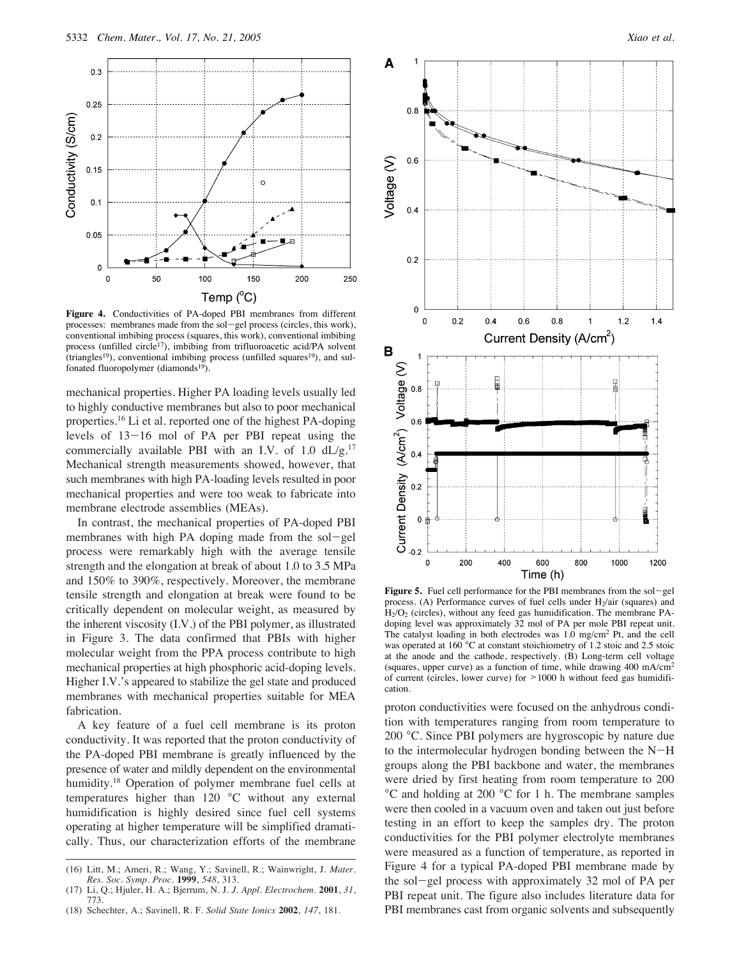

**Figure 4.** Conductivities of PA-doped PBI membranes from different processes: membranes made from the sol-gel process (circles, this work), conventional imbibing process (squares, this work), conventional imbibing process (unfilled circle<sup>17</sup>), imbibing from trifluoroacetic acid/PA solvent (triangles<sup>19</sup>), conventional imbibing process (unfilled squares<sup>19</sup>), and sulfonated fluoropolymer (diamonds<sup>19</sup>).

mechanical properties. Higher PA loading levels usually led to highly conductive membranes but also to poor mechanical properties.16 Li et al. reported one of the highest PA-doping levels of 13-16 mol of PA per PBI repeat using the commercially available PBI with an I.V. of 1.0  $dL/g$ .<sup>17</sup> Mechanical strength measurements showed, however, that such membranes with high PA-loading levels resulted in poor mechanical properties and were too weak to fabricate into membrane electrode assemblies (MEAs).

In contrast, the mechanical properties of PA-doped PBI membranes with high PA doping made from the sol-gel process were remarkably high with the average tensile strength and the elongation at break of about 1.0 to 3.5 MPa and 150% to 390%, respectively. Moreover, the membrane tensile strength and elongation at break were found to be critically dependent on molecular weight, as measured by the inherent viscosity (I.V.) of the PBI polymer, as illustrated in Figure 3. The data confirmed that PBIs with higher molecular weight from the PPA process contribute to high mechanical properties at high phosphoric acid-doping levels. Higher I.V.'s appeared to stabilize the gel state and produced membranes with mechanical properties suitable for MEA fabrication.

A key feature of a fuel cell membrane is its proton conductivity. It was reported that the proton conductivity of the PA-doped PBI membrane is greatly influenced by the presence of water and mildly dependent on the environmental humidity.<sup>18</sup> Operation of polymer membrane fuel cells at temperatures higher than 120 °C without any external humidification is highly desired since fuel cell systems operating at higher temperature will be simplified dramatically. Thus, our characterization efforts of the membrane



Figure 5. Fuel cell performance for the PBI membranes from the sol-gel process. (A) Performance curves of fuel cells under  $H_2/air$  (squares) and H2/O2 (circles), without any feed gas humidification. The membrane PAdoping level was approximately 32 mol of PA per mole PBI repeat unit. The catalyst loading in both electrodes was 1.0 mg/cm2 Pt, and the cell was operated at 160 °C at constant stoichiometry of 1.2 stoic and 2.5 stoic at the anode and the cathode, respectively. (B) Long-term cell voltage (squares, upper curve) as a function of time, while drawing 400 mA/cm2 of current (circles, lower curve) for  $>1000$  h without feed gas humidification.

proton conductivities were focused on the anhydrous condition with temperatures ranging from room temperature to 200 °C. Since PBI polymers are hygroscopic by nature due to the intermolecular hydrogen bonding between the N-H groups along the PBI backbone and water, the membranes were dried by first heating from room temperature to 200 °C and holding at 200 °C for 1 h. The membrane samples were then cooled in a vacuum oven and taken out just before testing in an effort to keep the samples dry. The proton conductivities for the PBI polymer electrolyte membranes were measured as a function of temperature, as reported in Figure 4 for a typical PA-doped PBI membrane made by the sol-gel process with approximately 32 mol of PA per PBI repeat unit. The figure also includes literature data for PBI membranes cast from organic solvents and subsequently

<sup>(16)</sup> Litt, M.; Ameri, R.; Wang, Y.; Savinell, R.; Wainwright, J. *Mater. Res. Soc. Symp. Proc.* **1999**, *548*, 313.

<sup>(17)</sup> Li, Q.; Hjuler, H. A.; Bjerrum, N. J. *J. Appl. Electrochem.* **2001**, *31*, 773.

<sup>(18)</sup> Schechter, A.; Savinell, R. F. *Solid State Ionics* **2002**, *147*, 181.